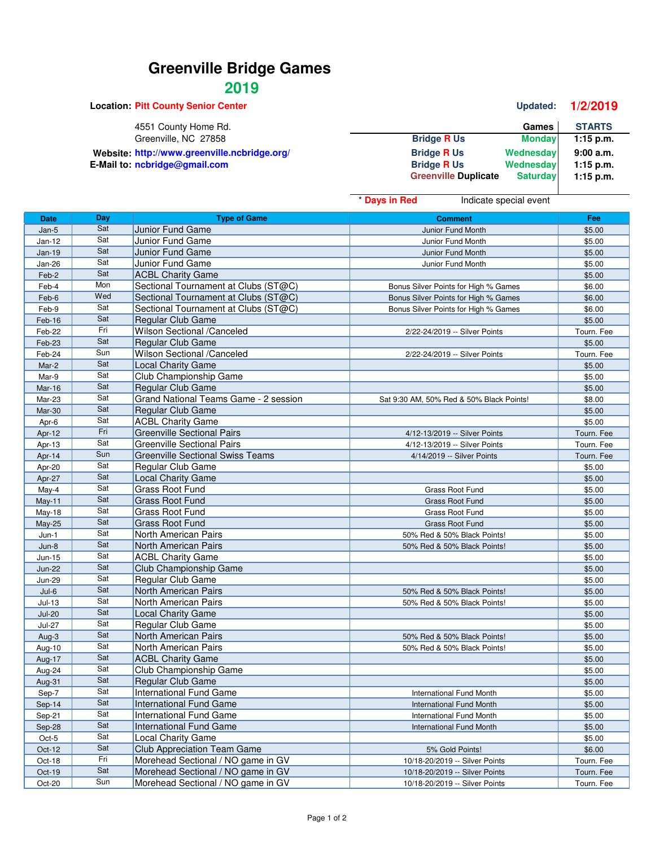## **Greenville Bridge Games**

## **2019**

**Location: Pitt County Senior Center Center Updated: 1/2/2019** 4551 County Home Rd. **Games** STARTS Greenville, NC 27858 **Games** STARTS Greenville, NC 27858 **Greenville, NC 27858 Bridge R Us Monday 1:15 p.m.** Website: http://www.greenville.ncbridge.org/<br>**Bridge R** Us Wednesday **9:00 a.m.**<br>Bridge R Us Wednesday 1:15 p.m. **E-Mail to: ncbridge@gmail.com Bridge B Bridge R** Us **Wednesday 1:15 p.m.**<br>Compute **Computer Bridge B Computer B Computer B Computer B Computer B Computer B Computer B Computer B**  $Greenville$  **Duplicate** 

|               |     |                                         | <sup>*</sup> Days in Red<br>Indicate special event |            |
|---------------|-----|-----------------------------------------|----------------------------------------------------|------------|
| <b>Date</b>   | Day | <b>Type of Game</b>                     | <b>Comment</b>                                     | Fee        |
| Jan-5         | Sat | Junior Fund Game                        | Junior Fund Month                                  | \$5.00     |
| Jan-12        | Sat | Junior Fund Game                        | Junior Fund Month                                  | \$5.00     |
| $Jan-19$      | Sat | Junior Fund Game                        | Junior Fund Month                                  | \$5.00     |
| Jan-26        | Sat | Junior Fund Game                        | Junior Fund Month                                  | \$5.00     |
| Feb-2         | Sat | <b>ACBL Charity Game</b>                |                                                    | \$5.00     |
| Feb-4         | Mon | Sectional Tournament at Clubs (ST@C)    | Bonus Silver Points for High % Games               | \$6.00     |
| Feb-6         | Wed | Sectional Tournament at Clubs (ST@C)    | Bonus Silver Points for High % Games               | \$6.00     |
| Feb-9         | Sat | Sectional Tournament at Clubs (ST@C)    | Bonus Silver Points for High % Games               | \$6.00     |
| Feb-16        | Sat | Regular Club Game                       |                                                    | \$5.00     |
| Feb-22        | Fri | Wilson Sectional /Canceled              | 2/22-24/2019 -- Silver Points                      | Tourn. Fee |
| Feb-23        | Sat | Regular Club Game                       |                                                    | \$5.00     |
| Feb-24        | Sun | Wilson Sectional /Canceled              | 2/22-24/2019 -- Silver Points                      | Tourn. Fee |
| Mar-2         | Sat | <b>Local Charity Game</b>               |                                                    | \$5.00     |
| Mar-9         | Sat | Club Championship Game                  |                                                    | \$5.00     |
| Mar-16        | Sat | Regular Club Game                       |                                                    | \$5.00     |
| Mar-23        | Sat | Grand National Teams Game - 2 session   | Sat 9:30 AM, 50% Red & 50% Black Points!           | \$8.00     |
| Mar-30        | Sat | Regular Club Game                       |                                                    | \$5.00     |
| Apr-6         | Sat | <b>ACBL Charity Game</b>                |                                                    | \$5.00     |
| Apr-12        | Fri | <b>Greenville Sectional Pairs</b>       | 4/12-13/2019 -- Silver Points                      | Tourn. Fee |
| Apr-13        | Sat | <b>Greenville Sectional Pairs</b>       | 4/12-13/2019 -- Silver Points                      | Tourn. Fee |
| Apr-14        | Sun | <b>Greenville Sectional Swiss Teams</b> | 4/14/2019 -- Silver Points                         | Tourn. Fee |
| Apr-20        | Sat | Regular Club Game                       |                                                    | \$5.00     |
| Apr-27        | Sat | <b>Local Charity Game</b>               |                                                    | \$5.00     |
| May-4         | Sat | Grass Root Fund                         | Grass Root Fund                                    | \$5.00     |
| May-11        | Sat | <b>Grass Root Fund</b>                  | <b>Grass Root Fund</b>                             | \$5.00     |
| May-18        | Sat | <b>Grass Root Fund</b>                  | Grass Root Fund                                    | \$5.00     |
| <b>May-25</b> | Sat | <b>Grass Root Fund</b>                  | Grass Root Fund                                    | \$5.00     |
| $Jun-1$       | Sat | North American Pairs                    | 50% Red & 50% Black Points!                        | \$5.00     |
| $Jun-8$       | Sat | North American Pairs                    | 50% Red & 50% Black Points!                        | \$5.00     |
| Jun-15        | Sat | <b>ACBL Charity Game</b>                |                                                    | \$5.00     |
| <b>Jun-22</b> | Sat | Club Championship Game                  |                                                    | \$5.00     |
| <b>Jun-29</b> | Sat | Regular Club Game                       |                                                    | \$5.00     |
| $Jul-6$       | Sat | North American Pairs                    | 50% Red & 50% Black Points!                        | \$5.00     |
| $Jul-13$      | Sat | North American Pairs                    | 50% Red & 50% Black Points!                        | \$5.00     |
| $Jul-20$      | Sat | <b>Local Charity Game</b>               |                                                    | \$5.00     |
| <b>Jul-27</b> | Sat | Regular Club Game                       |                                                    | \$5.00     |
| Aug-3         | Sat | North American Pairs                    | 50% Red & 50% Black Points!                        | \$5.00     |
| Aug-10        | Sat | North American Pairs                    | 50% Red & 50% Black Points!                        | \$5.00     |
| Aug-17        | Sat | <b>ACBL Charity Game</b>                |                                                    | \$5.00     |
| Aug-24        | Sat | Club Championship Game                  |                                                    | \$5.00     |
| Aug-31        | Sat | Regular Club Game                       |                                                    | \$5.00     |
| Sep-7         | Sat | <b>International Fund Game</b>          | International Fund Month                           | \$5.00     |
| Sep-14        | Sat | <b>International Fund Game</b>          | <b>International Fund Month</b>                    | \$5.00     |
| Sep-21        | Sat | <b>International Fund Game</b>          | International Fund Month                           | \$5.00     |
| Sep-28        | Sat | <b>International Fund Game</b>          | <b>International Fund Month</b>                    | \$5.00     |
| Oct-5         | Sat | <b>Local Charity Game</b>               |                                                    | \$5.00     |
| Oct-12        | Sat | <b>Club Appreciation Team Game</b>      | 5% Gold Points!                                    | \$6.00     |
| Oct-18        | Fri | Morehead Sectional / NO game in GV      | 10/18-20/2019 -- Silver Points                     | Tourn. Fee |
| Oct-19        | Sat | Morehead Sectional / NO game in GV      | 10/18-20/2019 -- Silver Points                     | Tourn. Fee |
| $Oct-20$      | Sun | Morehead Sectional / NO game in GV      | 10/18-20/2019 -- Silver Points                     | Tourn. Fee |